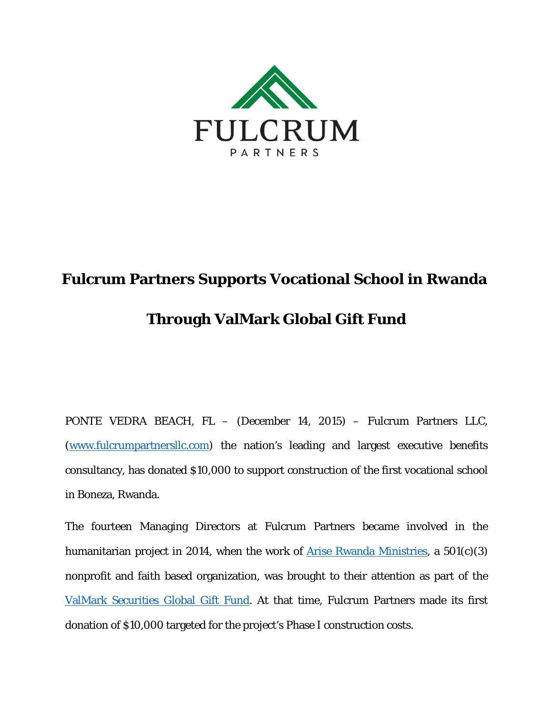

## **Fulcrum Partners Supports Vocational School in Rwanda Through ValMark Global Gift Fund**

PONTE VEDRA BEACH, FL – (December 14, 2015) – Fulcrum Partners LLC, [\(www.fulcrumpartnersllc.com\)](http://www.fulcrumpartnersllc.com/) the nation's leading and largest executive benefits consultancy, has donated \$10,000 to support construction of the first vocational school in Boneza, Rwanda.

The fourteen Managing Directors at Fulcrum Partners became involved in the humanitarian project in 2014, when the work of [Arise Rwanda](http://www.ariserwanda.org/) Ministries, a 501(c)(3) nonprofit and faith based organization, was brought to their attention as part of the [ValMark Securities Global Gift Fund.](http://www.valmarksecurities.com/global-gift-fund) At that time, Fulcrum Partners made its first donation of \$10,000 targeted for the project's Phase I construction costs.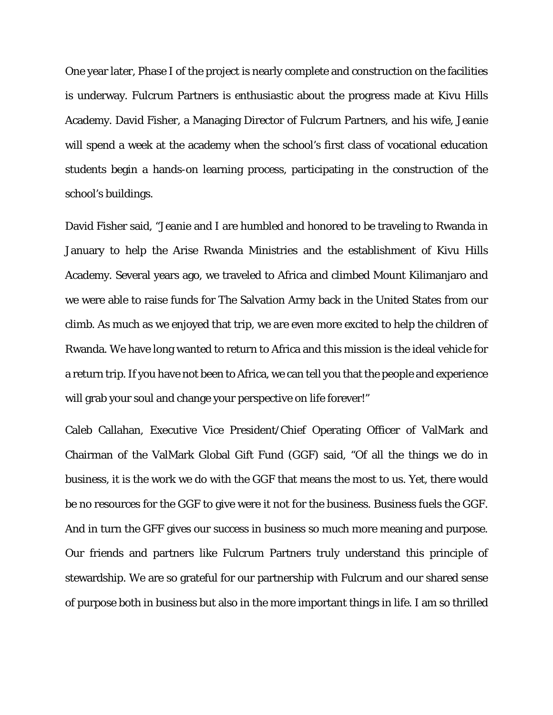One year later, Phase I of the project is nearly complete and construction on the facilities is underway. Fulcrum Partners is enthusiastic about the progress made at Kivu Hills Academy. David Fisher, a Managing Director of Fulcrum Partners, and his wife, Jeanie will spend a week at the academy when the school's first class of vocational education students begin a hands-on learning process, participating in the construction of the school's buildings.

David Fisher said, "Jeanie and I are humbled and honored to be traveling to Rwanda in January to help the Arise Rwanda Ministries and the establishment of Kivu Hills Academy. Several years ago, we traveled to Africa and climbed Mount Kilimanjaro and we were able to raise funds for The Salvation Army back in the United States from our climb. As much as we enjoyed that trip, we are even more excited to help the children of Rwanda. We have long wanted to return to Africa and this mission is the ideal vehicle for a return trip. If you have not been to Africa, we can tell you that the people and experience will grab your soul and change your perspective on life forever!"

Caleb Callahan, Executive Vice President/Chief Operating Officer of ValMark and Chairman of the ValMark Global Gift Fund (GGF) said, "Of all the things we do in business, it is the work we do with the GGF that means the most to us. Yet, there would be no resources for the GGF to give were it not for the business. Business fuels the GGF. And in turn the GFF gives our success in business so much more meaning and purpose. Our friends and partners like Fulcrum Partners truly understand this principle of stewardship. We are so grateful for our partnership with Fulcrum and our shared sense of purpose both in business but also in the more important things in life. I am so thrilled